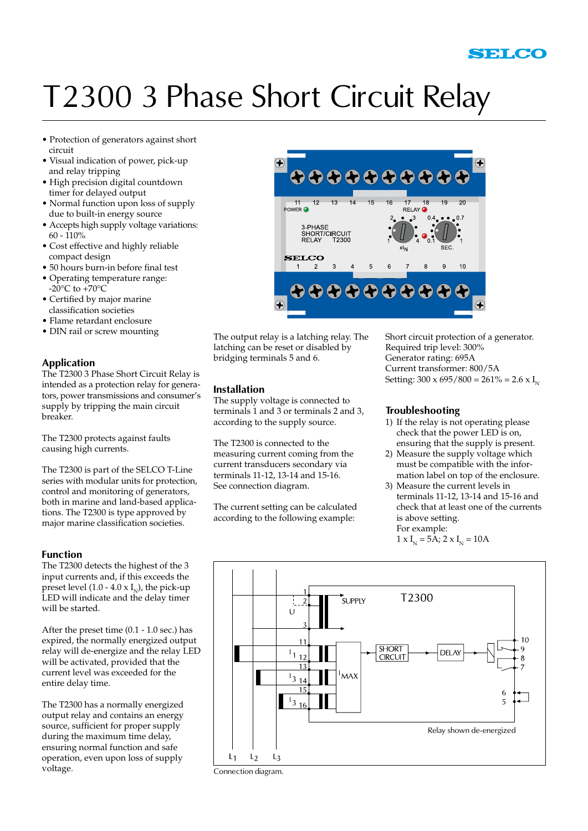## T2300 3 Phase Short Circuit Relay

- Protection of generators against short circuit
- Visual indication of power, pick-up and relay tripping
- High precision digital countdown timer for delayed output
- Normal function upon loss of supply due to built-in energy source
- Accepts high supply voltage variations: 60 - 110%
- Cost effective and highly reliable compact design
- 50 hours burn-in before final test
- Operating temperature range:  $-20^{\circ}$ C to  $+70^{\circ}$ C
- Certified by major marine classification societies
- Flame retardant enclosure
- DIN rail or screw mounting

#### **Application**

The T2300 3 Phase Short Circuit Relay is intended as a protection relay for generators, power transmissions and consumer's supply by tripping the main circuit breaker.

The T2300 protects against faults causing high currents.

The T2300 is part of the SELCO T-Line series with modular units for protection, control and monitoring of generators, both in marine and land-based applications. The T2300 is type approved by major marine classification societies.

#### **Function**

The T2300 detects the highest of the 3 input currents and, if this exceeds the preset level (1.0 - 4.0 x  $I_N$ ), the pick-up LED will indicate and the delay timer will be started.

After the preset time (0.1 - 1.0 sec.) has expired, the normally energized output relay will de-energize and the relay LED will be activated, provided that the current level was exceeded for the entire delay time.

The T2300 has a normally energized output relay and contains an energy source, sufficient for proper supply during the maximum time delay, ensuring normal function and safe operation, even upon loss of supply voltage.



The output relay is a latching relay. The latching can be reset or disabled by bridging terminals 5 and 6.

#### **Installation**

The supply voltage is connected to terminals 1 and 3 or terminals 2 and 3, according to the supply source.

The T2300 is connected to the measuring current coming from the current transducers secondary via terminals 11-12, 13-14 and 15-16. See connection diagram.

The current setting can be calculated according to the following example:

Short circuit protection of a generator. Required trip level: 300% Generator rating: 695A Current transformer: 800/5A Setting:  $300 \times 695 / 800 = 261\% = 2.6 \times I_{N}$ 

#### **Troubleshooting**

- 1) If the relay is not operating please check that the power LED is on, ensuring that the supply is present.
- 2) Measure the supply voltage which must be compatible with the information label on top of the enclosure.
- 3) Measure the current levels in terminals 11-12, 13-14 and 15-16 and check that at least one of the currents is above setting. For example:

 $1 \times I_{N} = 5A$ ;  $2 \times I_{N} = 10A$ 



Connection diagram.